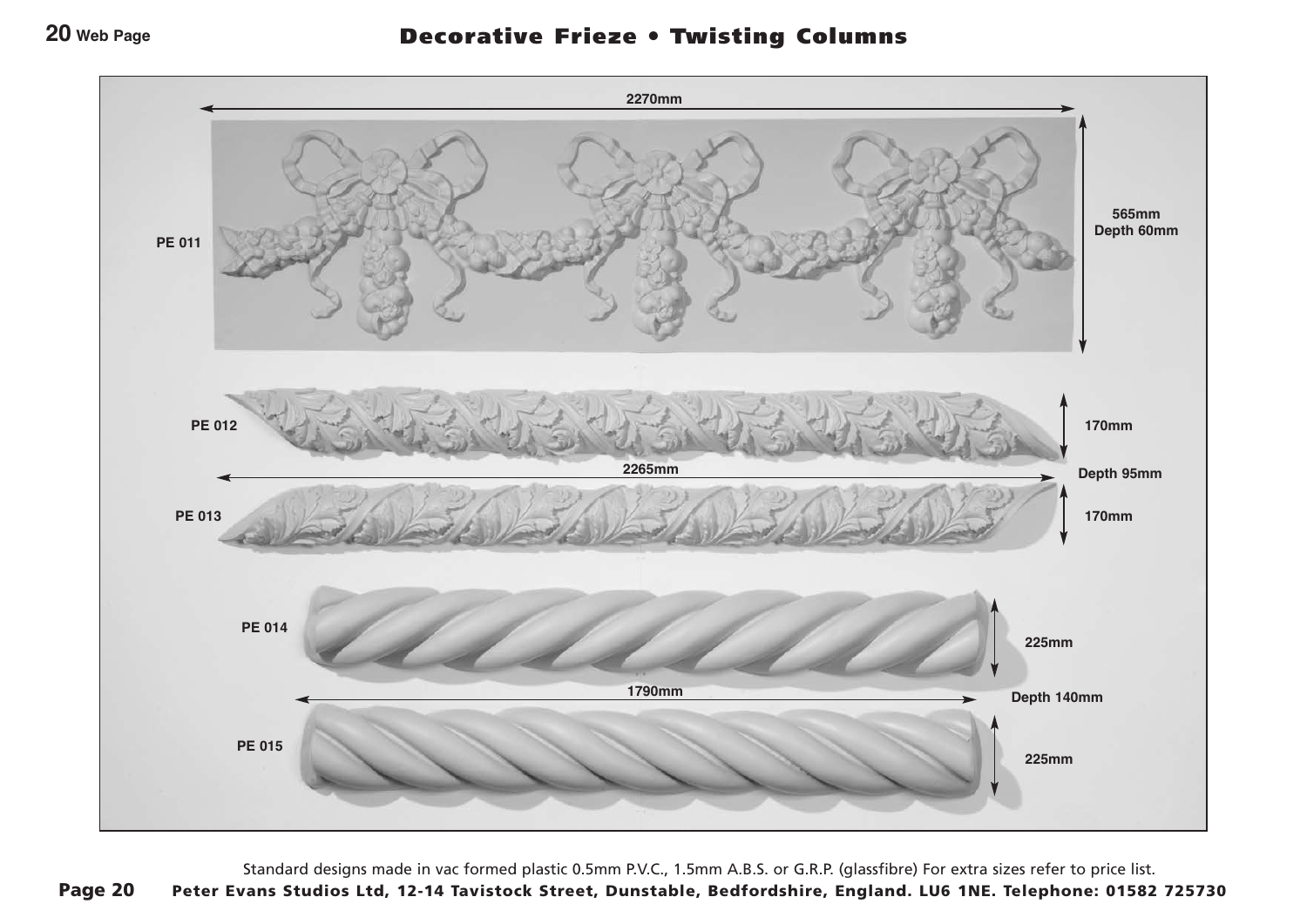## **20 Web Page**

## Decorative Frieze ● Twisting Columns



Standard designs made in vac formed plastic 0.5mm P.V.C., 1.5mm A.B.S. or G.R.P. (glassfibre) For extra sizes refer to price list. Page 20 Peter Evans Studios Ltd, 12-14 Tavistock Street, Dunstable, Bedfordshire, England. LU6 1NE. Telephone: 01582 725730